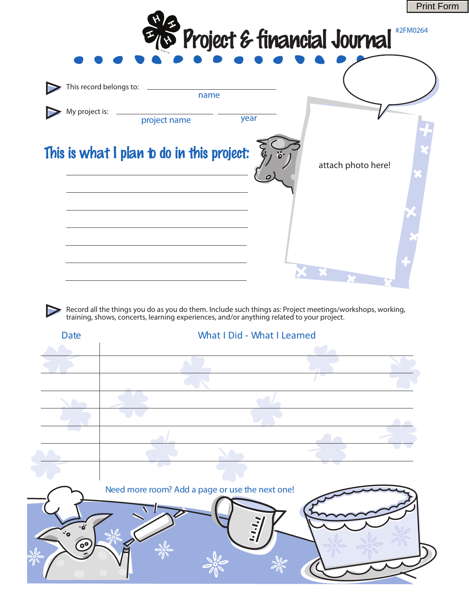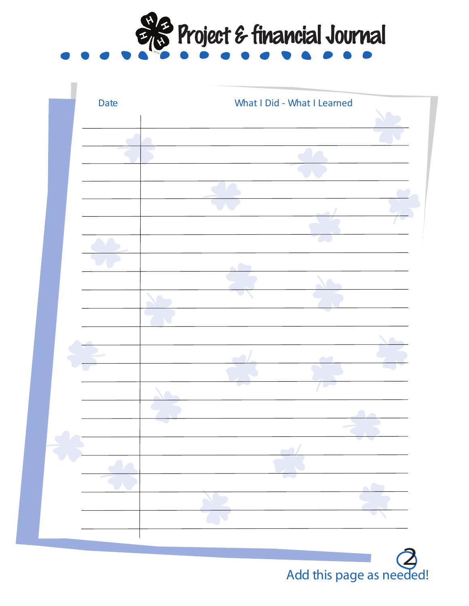



Add this page as needed!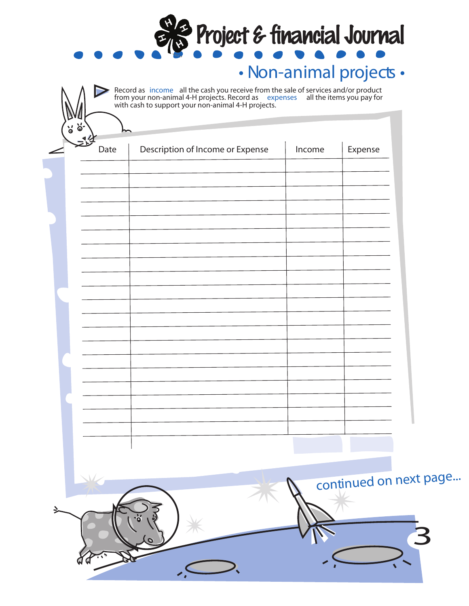| စြ<br>Date | Description of Income or Expense | Income | Expense |
|------------|----------------------------------|--------|---------|
|            |                                  |        |         |
|            |                                  |        |         |
|            |                                  |        |         |
|            |                                  |        |         |
|            |                                  |        |         |
|            |                                  |        |         |
|            |                                  |        |         |
|            |                                  |        |         |
|            |                                  |        |         |
|            |                                  |        |         |
|            |                                  |        |         |
|            |                                  |        |         |
|            |                                  |        |         |